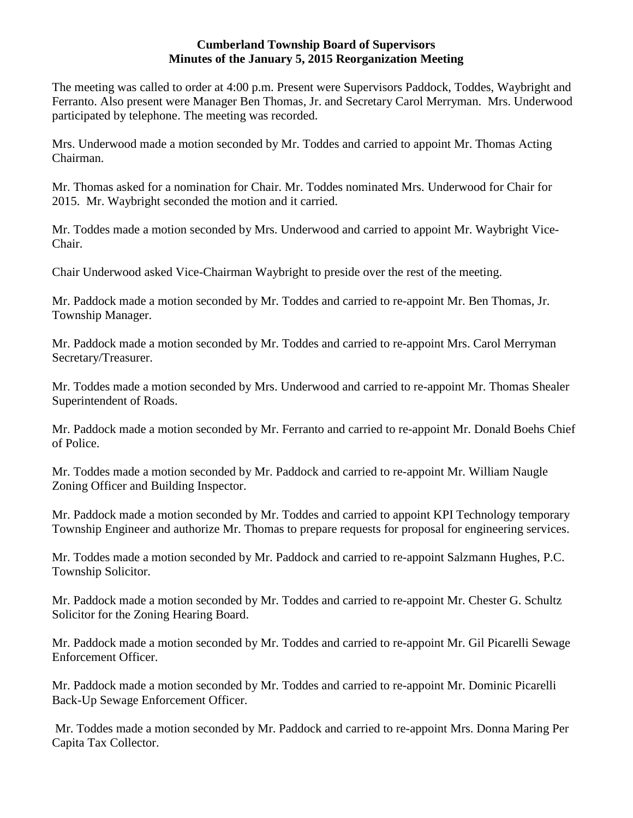#### **Cumberland Township Board of Supervisors Minutes of the January 5, 2015 Reorganization Meeting**

The meeting was called to order at 4:00 p.m. Present were Supervisors Paddock, Toddes, Waybright and Ferranto. Also present were Manager Ben Thomas, Jr. and Secretary Carol Merryman. Mrs. Underwood participated by telephone. The meeting was recorded.

Mrs. Underwood made a motion seconded by Mr. Toddes and carried to appoint Mr. Thomas Acting Chairman.

Mr. Thomas asked for a nomination for Chair. Mr. Toddes nominated Mrs. Underwood for Chair for 2015. Mr. Waybright seconded the motion and it carried.

Mr. Toddes made a motion seconded by Mrs. Underwood and carried to appoint Mr. Waybright Vice-Chair.

Chair Underwood asked Vice-Chairman Waybright to preside over the rest of the meeting.

Mr. Paddock made a motion seconded by Mr. Toddes and carried to re-appoint Mr. Ben Thomas, Jr. Township Manager.

Mr. Paddock made a motion seconded by Mr. Toddes and carried to re-appoint Mrs. Carol Merryman Secretary/Treasurer.

Mr. Toddes made a motion seconded by Mrs. Underwood and carried to re-appoint Mr. Thomas Shealer Superintendent of Roads.

Mr. Paddock made a motion seconded by Mr. Ferranto and carried to re-appoint Mr. Donald Boehs Chief of Police.

Mr. Toddes made a motion seconded by Mr. Paddock and carried to re-appoint Mr. William Naugle Zoning Officer and Building Inspector.

Mr. Paddock made a motion seconded by Mr. Toddes and carried to appoint KPI Technology temporary Township Engineer and authorize Mr. Thomas to prepare requests for proposal for engineering services.

Mr. Toddes made a motion seconded by Mr. Paddock and carried to re-appoint Salzmann Hughes, P.C. Township Solicitor.

Mr. Paddock made a motion seconded by Mr. Toddes and carried to re-appoint Mr. Chester G. Schultz Solicitor for the Zoning Hearing Board.

Mr. Paddock made a motion seconded by Mr. Toddes and carried to re-appoint Mr. Gil Picarelli Sewage Enforcement Officer.

Mr. Paddock made a motion seconded by Mr. Toddes and carried to re-appoint Mr. Dominic Picarelli Back-Up Sewage Enforcement Officer.

Mr. Toddes made a motion seconded by Mr. Paddock and carried to re-appoint Mrs. Donna Maring Per Capita Tax Collector.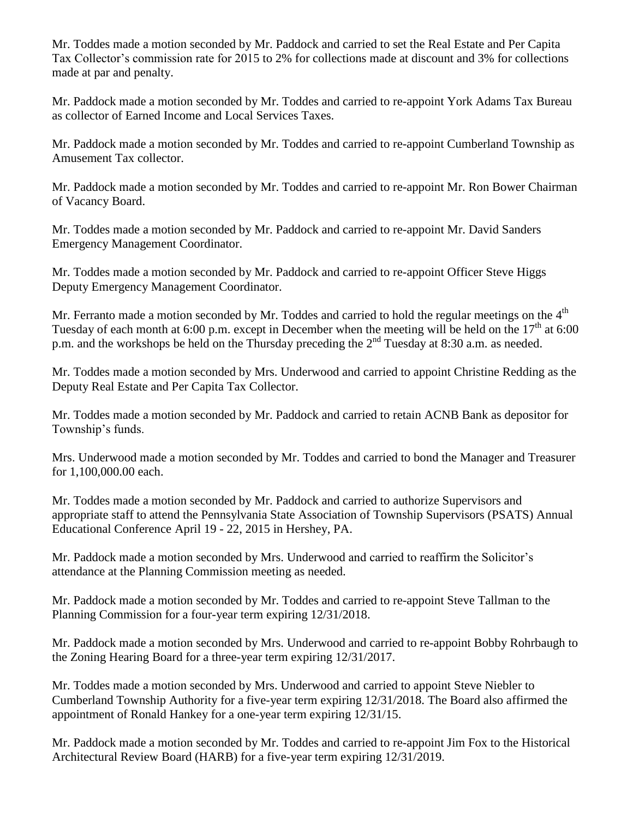Mr. Toddes made a motion seconded by Mr. Paddock and carried to set the Real Estate and Per Capita Tax Collector's commission rate for 2015 to 2% for collections made at discount and 3% for collections made at par and penalty.

Mr. Paddock made a motion seconded by Mr. Toddes and carried to re-appoint York Adams Tax Bureau as collector of Earned Income and Local Services Taxes.

Mr. Paddock made a motion seconded by Mr. Toddes and carried to re-appoint Cumberland Township as Amusement Tax collector.

Mr. Paddock made a motion seconded by Mr. Toddes and carried to re-appoint Mr. Ron Bower Chairman of Vacancy Board.

Mr. Toddes made a motion seconded by Mr. Paddock and carried to re-appoint Mr. David Sanders Emergency Management Coordinator.

Mr. Toddes made a motion seconded by Mr. Paddock and carried to re-appoint Officer Steve Higgs Deputy Emergency Management Coordinator.

Mr. Ferranto made a motion seconded by Mr. Toddes and carried to hold the regular meetings on the  $4<sup>th</sup>$ Tuesday of each month at 6:00 p.m. except in December when the meeting will be held on the  $17<sup>th</sup>$  at 6:00 p.m. and the workshops be held on the Thursday preceding the 2<sup>nd</sup> Tuesday at 8:30 a.m. as needed.

Mr. Toddes made a motion seconded by Mrs. Underwood and carried to appoint Christine Redding as the Deputy Real Estate and Per Capita Tax Collector.

Mr. Toddes made a motion seconded by Mr. Paddock and carried to retain ACNB Bank as depositor for Township's funds.

Mrs. Underwood made a motion seconded by Mr. Toddes and carried to bond the Manager and Treasurer for 1,100,000.00 each.

Mr. Toddes made a motion seconded by Mr. Paddock and carried to authorize Supervisors and appropriate staff to attend the Pennsylvania State Association of Township Supervisors (PSATS) Annual Educational Conference April 19 - 22, 2015 in Hershey, PA.

Mr. Paddock made a motion seconded by Mrs. Underwood and carried to reaffirm the Solicitor's attendance at the Planning Commission meeting as needed.

Mr. Paddock made a motion seconded by Mr. Toddes and carried to re-appoint Steve Tallman to the Planning Commission for a four-year term expiring 12/31/2018.

Mr. Paddock made a motion seconded by Mrs. Underwood and carried to re-appoint Bobby Rohrbaugh to the Zoning Hearing Board for a three-year term expiring 12/31/2017.

Mr. Toddes made a motion seconded by Mrs. Underwood and carried to appoint Steve Niebler to Cumberland Township Authority for a five-year term expiring 12/31/2018. The Board also affirmed the appointment of Ronald Hankey for a one-year term expiring 12/31/15.

Mr. Paddock made a motion seconded by Mr. Toddes and carried to re-appoint Jim Fox to the Historical Architectural Review Board (HARB) for a five-year term expiring 12/31/2019.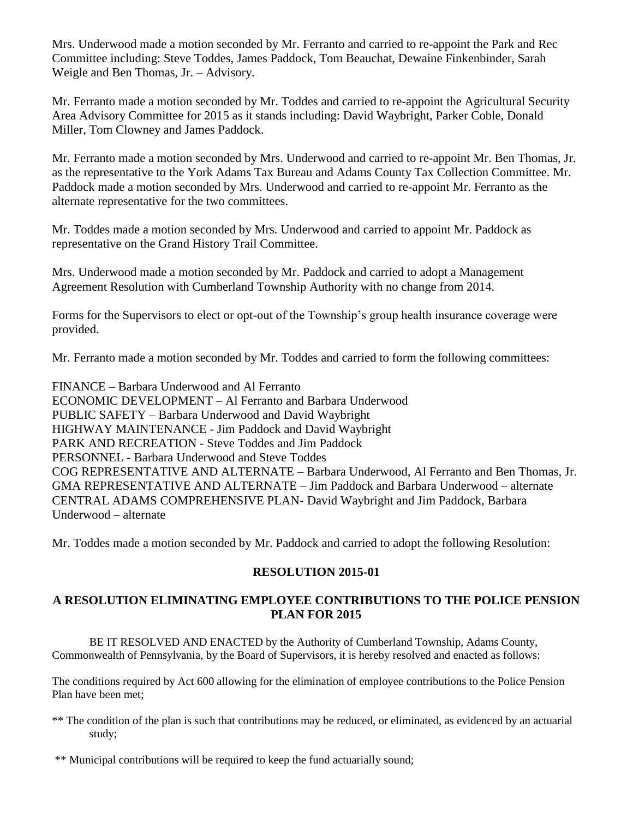Mrs. Underwood made a motion seconded by Mr. Ferranto and carried to re-appoint the Park and Rec Committee including: Steve Toddes, James Paddock, Tom Beauchat, Dewaine Finkenbinder, Sarah Weigle and Ben Thomas, Jr. – Advisory.

Mr. Ferranto made a motion seconded by Mr. Toddes and carried to re-appoint the Agricultural Security Area Advisory Committee for 2015 as it stands including: David Waybright, Parker Coble, Donald Miller, Tom Clowney and James Paddock.

Mr. Ferranto made a motion seconded by Mrs. Underwood and carried to re-appoint Mr. Ben Thomas, Jr. as the representative to the York Adams Tax Bureau and Adams County Tax Collection Committee. Mr. Paddock made a motion seconded by Mrs. Underwood and carried to re-appoint Mr. Ferranto as the alternate representative for the two committees.

Mr. Toddes made a motion seconded by Mrs. Underwood and carried to appoint Mr. Paddock as representative on the Grand History Trail Committee.

Mrs. Underwood made a motion seconded by Mr. Paddock and carried to adopt a Management Agreement Resolution with Cumberland Township Authority with no change from 2014.

Forms for the Supervisors to elect or opt-out of the Township's group health insurance coverage were provided.

Mr. Ferranto made a motion seconded by Mr. Toddes and carried to form the following committees:

FINANCE – Barbara Underwood and Al Ferranto ECONOMIC DEVELOPMENT – Al Ferranto and Barbara Underwood PUBLIC SAFETY – Barbara Underwood and David Waybright HIGHWAY MAINTENANCE - Jim Paddock and David Waybright PARK AND RECREATION - Steve Toddes and Jim Paddock PERSONNEL - Barbara Underwood and Steve Toddes COG REPRESENTATIVE AND ALTERNATE – Barbara Underwood, Al Ferranto and Ben Thomas, Jr. GMA REPRESENTATIVE AND ALTERNATE – Jim Paddock and Barbara Underwood – alternate CENTRAL ADAMS COMPREHENSIVE PLAN- David Waybright and Jim Paddock, Barbara Underwood – alternate

Mr. Toddes made a motion seconded by Mr. Paddock and carried to adopt the following Resolution:

# **RESOLUTION 2015-01**

# **A RESOLUTION ELIMINATING EMPLOYEE CONTRIBUTIONS TO THE POLICE PENSION PLAN FOR 2015**

BE IT RESOLVED AND ENACTED by the Authority of Cumberland Township, Adams County, Commonwealth of Pennsylvania, by the Board of Supervisors, it is hereby resolved and enacted as follows:

The conditions required by Act 600 allowing for the elimination of employee contributions to the Police Pension Plan have been met;

- \*\* The condition of the plan is such that contributions may be reduced, or eliminated, as evidenced by an actuarial study;
- \*\* Municipal contributions will be required to keep the fund actuarially sound;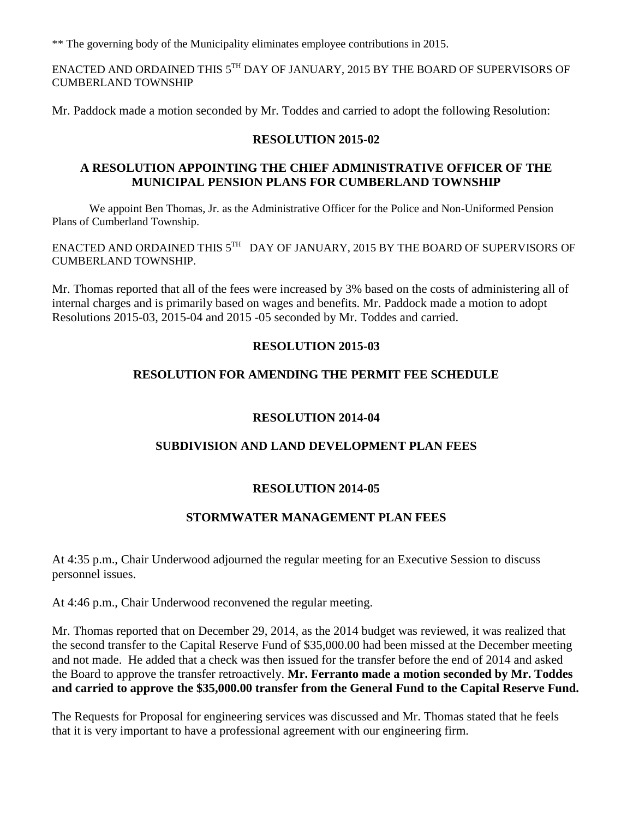\*\* The governing body of the Municipality eliminates employee contributions in 2015.

ENACTED AND ORDAINED THIS  $5^{\text{TH}}$  DAY OF JANUARY, 2015 BY THE BOARD OF SUPERVISORS OF CUMBERLAND TOWNSHIP

Mr. Paddock made a motion seconded by Mr. Toddes and carried to adopt the following Resolution:

### **RESOLUTION 2015-02**

#### **A RESOLUTION APPOINTING THE CHIEF ADMINISTRATIVE OFFICER OF THE MUNICIPAL PENSION PLANS FOR CUMBERLAND TOWNSHIP**

We appoint Ben Thomas, Jr. as the Administrative Officer for the Police and Non-Uniformed Pension Plans of Cumberland Township.

ENACTED AND ORDAINED THIS  $5^{\text{\tiny{TH}}}$  DAY OF JANUARY, 2015 BY THE BOARD OF SUPERVISORS OF CUMBERLAND TOWNSHIP.

Mr. Thomas reported that all of the fees were increased by 3% based on the costs of administering all of internal charges and is primarily based on wages and benefits. Mr. Paddock made a motion to adopt Resolutions 2015-03, 2015-04 and 2015 -05 seconded by Mr. Toddes and carried.

# **RESOLUTION 2015-03**

# **RESOLUTION FOR AMENDING THE PERMIT FEE SCHEDULE**

#### **RESOLUTION 2014-04**

# **SUBDIVISION AND LAND DEVELOPMENT PLAN FEES**

#### **RESOLUTION 2014-05**

#### **STORMWATER MANAGEMENT PLAN FEES**

At 4:35 p.m., Chair Underwood adjourned the regular meeting for an Executive Session to discuss personnel issues.

At 4:46 p.m., Chair Underwood reconvened the regular meeting.

Mr. Thomas reported that on December 29, 2014, as the 2014 budget was reviewed, it was realized that the second transfer to the Capital Reserve Fund of \$35,000.00 had been missed at the December meeting and not made. He added that a check was then issued for the transfer before the end of 2014 and asked the Board to approve the transfer retroactively. **Mr. Ferranto made a motion seconded by Mr. Toddes and carried to approve the \$35,000.00 transfer from the General Fund to the Capital Reserve Fund.** 

The Requests for Proposal for engineering services was discussed and Mr. Thomas stated that he feels that it is very important to have a professional agreement with our engineering firm.